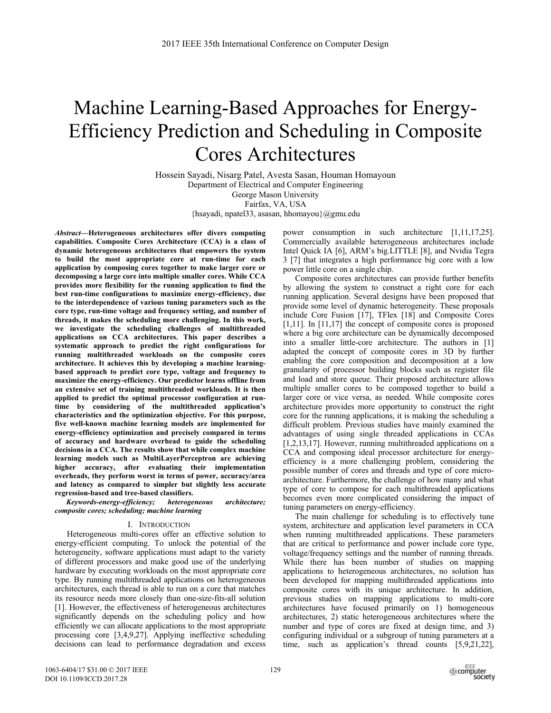# Machine Learning-Based Approaches for Energy-**Efficiency Prediction and Scheduling in Composite Cores Architectures**

Hossein Sayadi, Nisarg Patel, Avesta Sasan, Houman Homayoun Department of Electrical and Computer Engineering George Mason University Fairfax, VA, USA

{hsayadi, npatel33, asasan, hhomayou}@gmu.edu

Abstract-Heterogeneous architectures offer divers computing capabilities. Composite Cores Architecture (CCA) is a class of dynamic heterogeneous architectures that empowers the system to build the most appropriate core at run-time for each application by composing cores together to make larger core or decomposing a large core into multiple smaller cores. While CCA provides more flexibility for the running application to find the best run-time configurations to maximize energy-efficiency, due to the interdependence of various tuning parameters such as the core type, run-time voltage and frequency setting, and number of threads, it makes the scheduling more challenging. In this work, we investigate the scheduling challenges of multithreaded applications on CCA architectures. This paper describes a systematic approach to predict the right configurations for running multithreaded workloads on the composite cores architecture. It achieves this by developing a machine learningbased approach to predict core type, voltage and frequency to maximize the energy-efficiency. Our predictor learns offline from an extensive set of training multithreaded workloads. It is then applied to predict the optimal processor configuration at runtime by considering of the multithreaded application's characteristics and the optimization objective. For this purpose, five well-known machine learning models are implemented for energy-efficiency optimization and precisely compared in terms of accuracy and hardware overhead to guide the scheduling decisions in a CCA. The results show that while complex machine learning models such as MultiLayerPerceptron are achieving higher accuracy, after evaluating their implementation overheads, they perform worst in terms of power, accuracy/area and latency as compared to simpler but slightly less accurate regression-based and tree-based classifiers.

Keywords-energy-efficiency; heterogeneous architecture: composite cores; scheduling; machine learning

#### I. INTRODUCTION

Heterogeneous multi-cores offer an effective solution to energy-efficient computing. To unlock the potential of the heterogeneity, software applications must adapt to the variety of different processors and make good use of the underlying hardware by executing workloads on the most appropriate core type. By running multithreaded applications on heterogeneous architectures, each thread is able to run on a core that matches its resource needs more closely than one-size-fits-all solution [1]. However, the effectiveness of heterogeneous architectures significantly depends on the scheduling policy and how efficiently we can allocate applications to the most appropriate processing core [3,4,9,27]. Applying ineffective scheduling decisions can lead to performance degradation and excess power consumption in such architecture [1,11,17,25]. Commercially available heterogeneous architectures include Intel Quick IA [6], ARM's big.LITTLE [8], and Nvidia Tegra 3 [7] that integrates a high performance big core with a low power little core on a single chip.

Composite cores architectures can provide further benefits by allowing the system to construct a right core for each running application. Several designs have been proposed that provide some level of dynamic heterogeneity. These proposals include Core Fusion [17], TFlex [18] and Composite Cores  $[1,11]$ . In  $[11,17]$  the concept of composite cores is proposed where a big core architecture can be dynamically decomposed into a smaller little-core architecture. The authors in [1] adapted the concept of composite cores in 3D by further enabling the core composition and decomposition at a low granularity of processor building blocks such as register file and load and store queue. Their proposed architecture allows multiple smaller cores to be composed together to build a larger core or vice versa, as needed. While composite cores architecture provides more opportunity to construct the right core for the running applications, it is making the scheduling a difficult problem. Previous studies have mainly examined the advantages of using single threaded applications in CCAs  $[1,2,13,17]$ . However, running multithreaded applications on a CCA and composing ideal processor architecture for energyefficiency is a more challenging problem, considering the possible number of cores and threads and type of core microarchitecture. Furthermore, the challenge of how many and what type of core to compose for each multithreaded applications becomes even more complicated considering the impact of tuning parameters on energy-efficiency.

The main challenge for scheduling is to effectively tune system, architecture and application level parameters in CCA when running multithreaded applications. These parameters that are critical to performance and power include core type, voltage/frequency settings and the number of running threads. While there has been number of studies on mapping applications to heterogeneous architectures, no solution has been developed for mapping multithreaded applications into composite cores with its unique architecture. In addition, previous studies on mapping applications to multi-core architectures have focused primarily on 1) homogeneous architectures, 2) static heterogeneous architectures where the number and type of cores are fixed at design time, and 3) configuring individual or a subgroup of tuning parameters at a time, such as application's thread counts [5,9,21,22],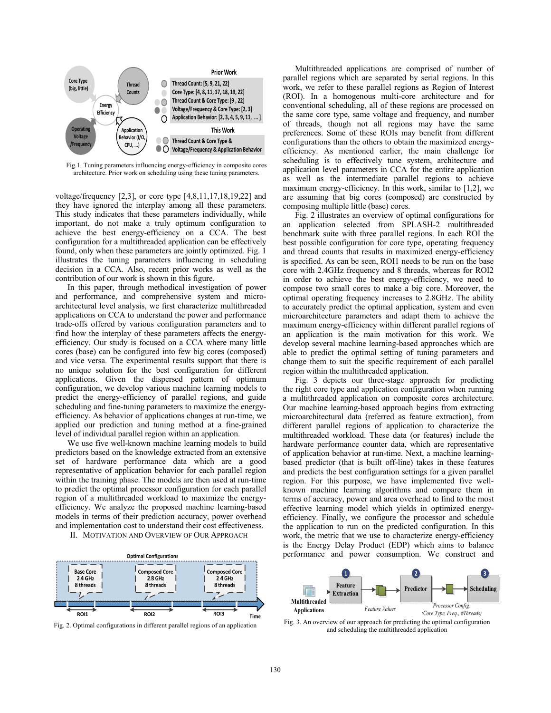

Fig.1. Tuning parameters influencing energy-efficiency in composite cores architecture. Prior work on scheduling using these tuning parameters.

voltage/frequency  $[2,3]$ , or core type  $[4,8,11,17,18,19,22]$  and they have ignored the interplay among all these parameters. This study indicates that these parameters individually, while important, do not make a truly optimum configuration to achieve the best energy-efficiency on a CCA. The best configuration for a multithreaded application can be effectively found, only when these parameters are jointly optimized. Fig. 1 illustrates the tuning parameters influencing in scheduling decision in a CCA. Also, recent prior works as well as the contribution of our work is shown in this figure.

In this paper, through methodical investigation of power and performance, and comprehensive system and microarchitectural level analysis, we first characterize multithreaded applications on CCA to understand the power and performance trade-offs offered by various configuration parameters and to find how the interplay of these parameters affects the energyefficiency. Our study is focused on a CCA where many little cores (base) can be configured into few big cores (composed) and vice versa. The experimental results support that there is no unique solution for the best configuration for different applications. Given the dispersed pattern of optimum configuration, we develop various machine learning models to predict the energy-efficiency of parallel regions, and guide scheduling and fine-tuning parameters to maximize the energyefficiency. As behavior of applications changes at run-time, we applied our prediction and tuning method at a fine-grained level of individual parallel region within an application.

We use five well-known machine learning models to build predictors based on the knowledge extracted from an extensive set of hardware performance data which are a good representative of application behavior for each parallel region within the training phase. The models are then used at run-time to predict the optimal processor configuration for each parallel region of a multithreaded workload to maximize the energyefficiency. We analyze the proposed machine learning-based models in terms of their prediction accuracy, power overhead and implementation cost to understand their cost effectiveness.

II. MOTIVATION AND OVERVIEW OF OUR APPROACH



Fig. 2. Optimal configurations in different parallel regions of an application

Multithreaded applications are comprised of number of parallel regions which are separated by serial regions. In this work, we refer to these parallel regions as Region of Interest (ROI). In a homogenous multi-core architecture and for conventional scheduling, all of these regions are processed on the same core type, same voltage and frequency, and number of threads, though not all regions may have the same preferences. Some of these ROIs may benefit from different configurations than the others to obtain the maximized energyefficiency. As mentioned earlier, the main challenge for scheduling is to effectively tune system, architecture and application level parameters in CCA for the entire application as well as the intermediate parallel regions to achieve maximum energy-efficiency. In this work, similar to [1,2], we are assuming that big cores (composed) are constructed by composing multiple little (base) cores.

Fig. 2 illustrates an overview of optimal configurations for an application selected from SPLASH-2 multithreaded benchmark suite with three parallel regions. In each ROI the best possible configuration for core type, operating frequency and thread counts that results in maximized energy-efficiency is specified. As can be seen, ROI1 needs to be run on the base core with 2.4GHz frequency and 8 threads, whereas for ROI2 in order to achieve the best energy-efficiency, we need to compose two small cores to make a big core. Moreover, the optimal operating frequency increases to 2.8GHz. The ability to accurately predict the optimal application, system and even microarchitecture parameters and adapt them to achieve the maximum energy-efficiency within different parallel regions of an application is the main motivation for this work. We develop several machine learning-based approaches which are able to predict the optimal setting of tuning parameters and change them to suit the specific requirement of each parallel region within the multithreaded application.

Fig. 3 depicts our three-stage approach for predicting the right core type and application configuration when running a multithreaded application on composite cores architecture. Our machine learning-based approach begins from extracting microarchitectural data (referred as feature extraction), from different parallel regions of application to characterize the multithreaded workload. These data (or features) include the hardware performance counter data, which are representative of application behavior at run-time. Next, a machine learningbased predictor (that is built off-line) takes in these features and predicts the best configuration settings for a given parallel region. For this purpose, we have implemented five wellknown machine learning algorithms and compare them in terms of accuracy, power and area overhead to find to the most effective learning model which yields in optimized energyefficiency. Finally, we configure the processor and schedule the application to run on the predicted configuration. In this work, the metric that we use to characterize energy-efficiency is the Energy Delay Product (EDP) which aims to balance performance and power consumption. We construct and



Fig. 3. An overview of our approach for predicting the optimal configuration and scheduling the multithreaded application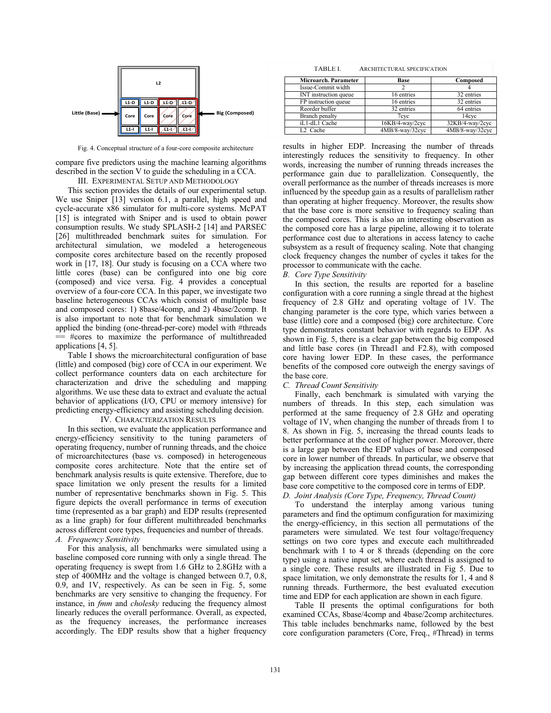

Fig. 4. Conceptual structure of a four-core composite architecture

compare five predictors using the machine learning algorithms described in the section V to guide the scheduling in a CCA.

#### III. EXPERIMENTAL SETUP AND METHODOLOGY

This section provides the details of our experimental setup. We use Sniper [13] version 6.1, a parallel, high speed and cycle-accurate x86 simulator for multi-core systems. McPAT [15] is integrated with Sniper and is used to obtain power consumption results. We study SPLASH-2 [14] and PARSEC [26] multithreaded benchmark suites for simulation. For architectural simulation, we modeled a heterogeneous composite cores architecture based on the recently proposed work in  $[17, 18]$ . Our study is focusing on a CCA where two little cores (base) can be configured into one big core (composed) and vice versa. Fig. 4 provides a conceptual overview of a four-core CCA. In this paper, we investigate two baseline heterogeneous CCAs which consist of multiple base and composed cores: 1) 8base/4comp, and 2) 4base/2comp. It is also important to note that for benchmark simulation we applied the binding (one-thread-per-core) model with #threads #cores to maximize the performance of multithreaded applications [4, 5].

Table I shows the microarchitectural configuration of base (little) and composed (big) core of CCA in our experiment. We collect performance counters data on each architecture for characterization and drive the scheduling and mapping algorithms. We use these data to extract and evaluate the actual behavior of applications (I/O, CPU or memory intensive) for predicting energy-efficiency and assisting scheduling decision.

#### **IV. CHARACTERIZATION RESULTS**

In this section, we evaluate the application performance and energy-efficiency sensitivity to the tuning parameters of operating frequency, number of running threads, and the choice of microarchitectures (base vs. composed) in heterogeneous composite cores architecture. Note that the entire set of benchmark analysis results is quite extensive. Therefore, due to space limitation we only present the results for a limited number of representative benchmarks shown in Fig. 5. This figure depicts the overall performance in terms of execution time (represented as a bar graph) and EDP results (represented as a line graph) for four different multithreaded benchmarks across different core types, frequencies and number of threads. A. Frequency Sensitivity

For this analysis, all benchmarks were simulated using a baseline composed core running with only a single thread. The operating frequency is swept from 1.6 GHz to 2.8GHz with a step of 400MHz and the voltage is changed between  $0.7, 0.8$ , 0.9, and 1V, respectively. As can be seen in Fig. 5, some benchmarks are very sensitive to changing the frequency. For instance, in *fmm* and *cholesky* reducing the frequency almost linearly reduces the overall performance. Overall, as expected, as the frequency increases, the performance increases accordingly. The EDP results show that a higher frequency

|  | TABLE L | ARCHITECTURAL SPECIFICATION |
|--|---------|-----------------------------|
|--|---------|-----------------------------|

| Microarch. Parameter  | Base            | Composed        |
|-----------------------|-----------------|-----------------|
| Issue-Commit width    |                 |                 |
| INT instruction queue | 16 entries      | 32 entries      |
| FP instruction queue  | 16 entries      | 32 entries      |
| Reorder buffer        | 32 entries      | 64 entries      |
| Branch penalty        | 7cyc            | 14cvc           |
| iL1-dL1 Cache         | 16KB/4-way/2cyc | 32KB/4-way/2cyc |
| L <sub>2</sub> Cache  | 4MB/8-way/32cyc | 4MB/8-way/32cyc |

results in higher EDP. Increasing the number of threads interestingly reduces the sensitivity to frequency. In other words, increasing the number of running threads increases the performance gain due to parallelization. Consequently, the overall performance as the number of threads increases is more influenced by the speedup gain as a results of parallelism rather than operating at higher frequency. Moreover, the results show that the base core is more sensitive to frequency scaling than the composed cores. This is also an interesting observation as the composed core has a large pipeline, allowing it to tolerate performance cost due to alterations in access latency to cache subsystem as a result of frequency scaling. Note that changing clock frequency changes the number of cycles it takes for the processor to communicate with the cache.

#### **B.** Core Type Sensitivity

In this section, the results are reported for a baseline configuration with a core running a single thread at the highest frequency of 2.8 GHz and operating voltage of 1V. The changing parameter is the core type, which varies between a base (little) core and a composed (big) core architecture. Core type demonstrates constant behavior with regards to EDP. As shown in Fig. 5, there is a clear gap between the big composed and little base cores (in Thread1 and F2.8), with composed core having lower EDP. In these cases, the performance benefits of the composed core outweigh the energy savings of the base core.

# C. Thread Count Sensitivity

Finally, each benchmark is simulated with varying the numbers of threads. In this step, each simulation was performed at the same frequency of 2.8 GHz and operating voltage of 1V, when changing the number of threads from 1 to 8. As shown in Fig. 5, increasing the thread counts leads to better performance at the cost of higher power. Moreover, there is a large gap between the EDP values of base and composed core in lower number of threads. In particular, we observe that by increasing the application thread counts, the corresponding gap between different core types diminishes and makes the base core competitive to the composed core in terms of EDP.

# D. Joint Analysis (Core Type, Frequency, Thread Count)

To understand the interplay among various tuning parameters and find the optimum configuration for maximizing the energy-efficiency, in this section all permutations of the parameters were simulated. We test four voltage/frequency settings on two core types and execute each multithreaded benchmark with 1 to 4 or 8 threads (depending on the core type) using a native input set, where each thread is assigned to a single core. These results are illustrated in Fig 5. Due to space limitation, we only demonstrate the results for 1, 4 and 8 running threads. Furthermore, the best evaluated execution time and EDP for each application are shown in each figure.

Table II presents the optimal configurations for both examined CCAs, 8base/4comp and 4base/2comp architectures. This table includes benchmarks name, followed by the best core configuration parameters (Core, Freq., #Thread) in terms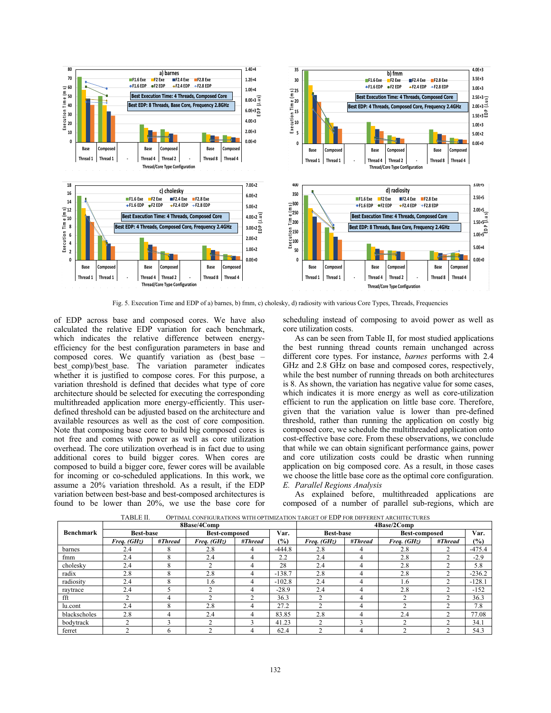

Fig. 5. Execution Time and EDP of a) barnes, b) fmm, c) cholesky, d) radiosity with various Core Types, Threads, Frequencies

of EDP across base and composed cores. We have also calculated the relative EDP variation for each benchmark, which indicates the relative difference between energyefficiency for the best configuration parameters in base and composed cores. We quantify variation as (best\_base best comp)/best base. The variation parameter indicates whether it is justified to compose cores. For this purpose, a variation threshold is defined that decides what type of core architecture should be selected for executing the corresponding multithreaded application more energy-efficiently. This userdefined threshold can be adjusted based on the architecture and available resources as well as the cost of core composition. Note that composing base core to build big composed cores is not free and comes with power as well as core utilization overhead. The core utilization overhead is in fact due to using additional cores to build bigger cores. When cores are composed to build a bigger core, fewer cores will be available for incoming or co-scheduled applications. In this work, we assume a 20% variation threshold. As a result, if the EDP variation between best-base and best-composed architectures is found to be lower than 20%, we use the base core for

scheduling instead of composing to avoid power as well as core utilization costs.

As can be seen from Table II, for most studied applications the best running thread counts remain unchanged across different core types. For instance, *barnes* performs with 2.4 GHz and 2.8 GHz on base and composed cores, respectively, while the best number of running threads on both architectures is 8. As shown, the variation has negative value for some cases, which indicates it is more energy as well as core-utilization efficient to run the application on little base core. Therefore, given that the variation value is lower than pre-defined threshold, rather than running the application on costly big composed core, we schedule the multithreaded application onto cost-effective base core. From these observations, we conclude that while we can obtain significant performance gains, power and core utilization costs could be drastic when running application on big composed core. As a result, in those cases we choose the little base core as the optimal core configuration. E. Parallel Regions Analysis

As explained before, multithreaded applications are composed of a number of parallel sub-regions, which are

|                  | 8Base/4Comp      |         |                      |         | 4Base/2Comp   |                  |         |                      |               |          |
|------------------|------------------|---------|----------------------|---------|---------------|------------------|---------|----------------------|---------------|----------|
| <b>Benchmark</b> | <b>Best-base</b> |         | <b>Best-composed</b> |         | Var.          | <b>Best-base</b> |         | <b>Best-composed</b> |               | Var.     |
|                  | Freq. (GHz)      | #Thread | Freq. (GHz)          | #Thread | $\frac{9}{6}$ | Freq. (GHz)      | #Thread | Freq. (GHz)          | #Thread       | (%)      |
| barnes           | 2.4              | 8       | 2.8                  | 4       | $-444.8$      | 2.8              | 4       | 2.8                  | $\mathcal{L}$ | $-475.4$ |
| fmm              | 2.4              | 8       | 2.4                  | 4       | 2.2           | 2.4              | 4       | 2.8                  | c             | $-2.9$   |
| cholesky         | 2.4              | 8       |                      | 4       | 28            | 2.4              | 4       | 2.8                  |               | 5.8      |
| radix            | 2.8              | 8       | 2.8                  | 4       | $-138.7$      | 2.8              | 4       | 2.8                  |               | $-236.2$ |
| radiosity        | 2.4              | 8       | 1.6                  | 4       | $-102.8$      | 2.4              | 4       | 1.6                  |               | $-128.1$ |
| raytrace         | 2.4              |         |                      | 4       | $-28.9$       | 2.4              | 4       | 2.8                  |               | $-152$   |
| fft              | ◠                |         | $\sim$               | ◠       | 36.3          |                  | 4       | ◠                    | ⌒             | 36.3     |
| lu.cont          | 2.4              | 8       | 2.8                  | 4       | 27.2          |                  | 4       |                      |               | 7.8      |
| blackscholes     | 2.8              | 4       | 2.4                  | 4       | 83.85         | 2.8              | 4       | 2.4                  |               | 77.08    |
| bodytrack        |                  |         | $\mathcal{L}$        | Δ       | 41.23         |                  | o       | ◠                    | ◠             | 34.1     |
| ferret           |                  | 6       |                      | 4       | 62.4          | ◠                | 4       | $\sim$               |               | 54.3     |

**TARLE II** OPTIMAL CONFIGURATIONS WITH OPTIMIZATION TARGET OF EDP FOR DIFFERENT ARCHITECTURES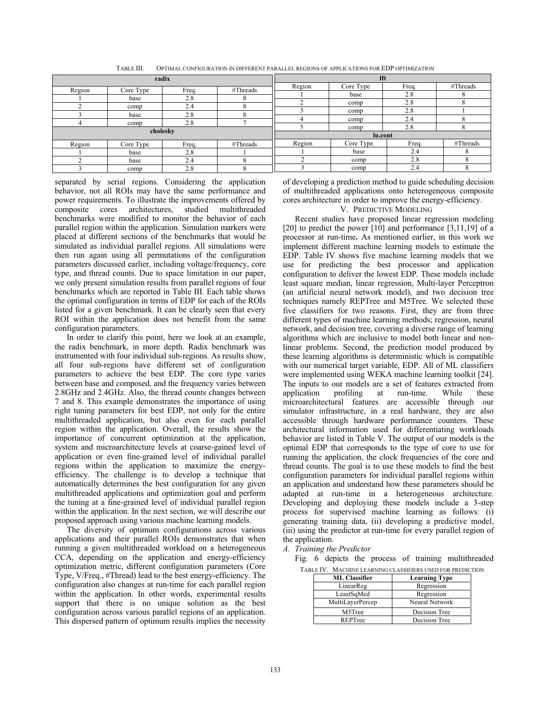| radix    |           |       | fft                  |         |           |       |            |
|----------|-----------|-------|----------------------|---------|-----------|-------|------------|
| Region   | Core Type | Freq. | #Threads             | Region  | Core Type | Freq. | #Threads   |
|          |           | 2.8   |                      |         | base      | 2.8   | $^{\circ}$ |
|          | base      |       | 8                    |         | comp      | 2.8   |            |
|          | comp      | 2.4   | ×                    |         | comp      | 2.8   |            |
|          | base      | 2.8   |                      |         | comp      | 2.4   | Λ          |
|          | comp      | 2.8   |                      |         | comp      | 2.8   | Ō          |
| cholesky |           |       |                      | lu.cont |           |       |            |
| Region   | Core Type | Freq. | #Threads             | Region  | Core Type | Freq. | #Threads   |
|          | base      | 2.8   |                      |         | base      | 2.4   |            |
| $\sim$   | base      | 2.4   | $\Omega$<br>$\Delta$ |         | comp      | 2.8   | o          |
|          | comp      | 2.8   | 8                    |         | comp      | 2.4   |            |

TARLE III OPTIMAL CONFIGURATION IN DIFFERENT PARALLEL REGIONS OF APPLICATIONS FOR EDP OPTIMIZATION

separated by serial regions. Considering the application behavior, not all ROIs may have the same performance and power requirements. To illustrate the improvements offered by composite cores architectures, studied multithreaded benchmarks were modified to monitor the behavior of each parallel region within the application. Simulation markers were placed at different sections of the benchmarks that would be simulated as individual parallel regions. All simulations were then run again using all permutations of the configuration parameters discussed earlier, including voltage/frequency, core type, and thread counts. Due to space limitation in our paper, we only present simulation results from parallel regions of four benchmarks which are reported in Table III. Each table shows the optimal configuration in terms of EDP for each of the ROIs listed for a given benchmark. It can be clearly seen that every ROI within the application does not benefit from the same configuration parameters.

In order to clarify this point, here we look at an example, the radix benchmark, in more depth. Radix benchmark was instrumented with four individual sub-regions. As results show, all four sub-regions have different set of configuration parameters to achieve the best EDP. The core type varies between base and composed, and the frequency varies between 2.8GHz and 2.4GHz. Also, the thread counts changes between 7 and 8. This example demonstrates the importance of using right tuning parameters for best EDP, not only for the entire multithreaded application, but also even for each parallel region within the application. Overall, the results show the importance of concurrent optimization at the application, system and microarchitecture levels at coarse-gained level of application or even fine-grained level of individual parallel regions within the application to maximize the energyefficiency. The challenge is to develop a technique that automatically determines the best configuration for any given multithreaded applications and optimization goal and perform the tuning at a fine-grained level of individual parallel region within the application. In the next section, we will describe our proposed approach using various machine learning models.

The diversity of optimum configurations across various applications and their parallel ROIs demonstrates that when running a given multithreaded workload on a heterogeneous CCA, depending on the application and energy-efficiency optimization metric, different configuration parameters (Core Type, V/Freq., #Thread) lead to the best energy-efficiency. The configuration also changes at run-time for each parallel region within the application. In other words, experimental results support that there is no unique solution as the best configuration across various parallel regions of an application. This dispersed pattern of optimum results implies the necessity

of developing a prediction method to guide scheduling decision of multithreaded applications onto heterogeneous composite cores architecture in order to improve the energy-efficiency.

## V. PREDICTIVE MODELING

Recent studies have proposed linear regression modeling [20] to predict the power  $[10]$  and performance  $[3,11,19]$  of a processor at run-time. As mentioned earlier, in this work we implement different machine learning models to estimate the EDP. Table IV shows five machine learning models that we use for predicting the best processor and application configuration to deliver the lowest EDP. These models include least square median, linear regression, Multi-layer Perceptron (an artificial neural network model), and two decision tree techniques namely REPTree and M5Tree. We selected these five classifiers for two reasons. First, they are from three different types of machine learning methods; regression, neural network, and decision tree, covering a diverse range of learning algorithms which are inclusive to model both linear and nonlinear problems. Second, the prediction model produced by these learning algorithms is deterministic which is compatible with our numerical target variable, EDP. All of ML classifiers were implemented using WEKA machine learning toolkit [24]. The inputs to our models are a set of features extracted from application profiling at run-time. While these microarchitectural features are accessible through our simulator infrastructure, in a real hardware, they are also accessible through hardware performance counters. These architectural information used for differentiating workloads behavior are listed in Table V. The output of our models is the optimal EDP that corresponds to the type of core to use for running the application, the clock frequencies of the core and thread counts. The goal is to use these models to find the best configuration parameters for individual parallel regions within an application and understand how these parameters should be adapted at run-time in a heterogeneous architecture. Developing and deploying these models include a 3-step process for supervised machine learning as follows: (i) generating training data, (ii) developing a predictive model, (iii) using the predictor at run-time for every parallel region of the application.

A. Training the Predictor

Fig. 6 depicts the process of training multithreaded TABLE IV. MACHINE LEARNING CLASSIFIERS USED FOR PREDICTION

| <b>ML Classifier</b> | <b>Learning Type</b> |  |  |  |  |  |
|----------------------|----------------------|--|--|--|--|--|
| LinearReg            | Regression           |  |  |  |  |  |
| LeastSqMed           | Regression           |  |  |  |  |  |
| MultiLayerPercep     | Neural Network       |  |  |  |  |  |
| M5Tree               | Decision Tree        |  |  |  |  |  |
| REPTree              | Decision Tree        |  |  |  |  |  |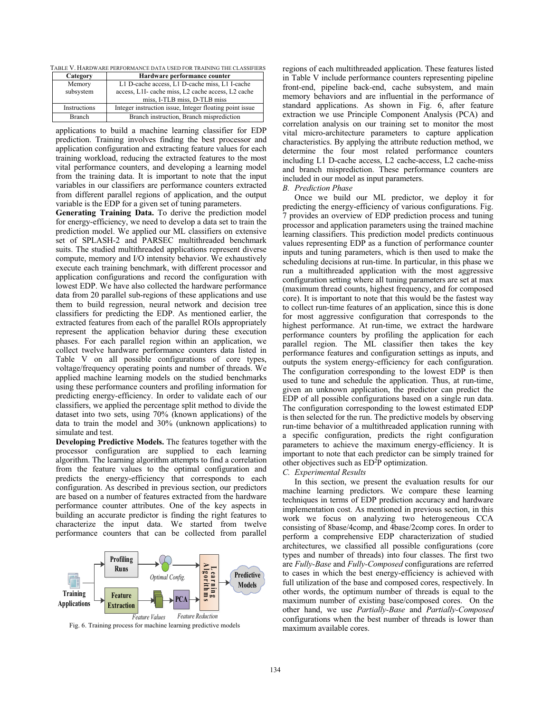| Category      | Hardware performance counter                                                       |
|---------------|------------------------------------------------------------------------------------|
| Memory        | L1 D-cache access, L1 D-cache miss, L1 I-cache                                     |
| subsystem     | access, L1I- cache miss, L2 cache access, L2 cache<br>miss, I-TLB miss, D-TLB miss |
|               |                                                                                    |
| Instructions  | Integer instruction issue, Integer floating point issue                            |
| <b>Branch</b> | Branch instruction, Branch misprediction                                           |

applications to build a machine learning classifier for EDP prediction. Training involves finding the best processor and application configuration and extracting feature values for each training workload, reducing the extracted features to the most vital performance counters, and developing a learning model from the training data. It is important to note that the input variables in our classifiers are performance counters extracted from different parallel regions of application, and the output variable is the EDP for a given set of tuning parameters.

Generating Training Data. To derive the prediction model for energy-efficiency, we need to develop a data set to train the prediction model. We applied our ML classifiers on extensive set of SPLASH-2 and PARSEC multithreaded benchmark suits. The studied multithreaded applications represent diverse compute, memory and I/O intensity behavior. We exhaustively execute each training benchmark, with different processor and application configurations and record the configuration with lowest EDP. We have also collected the hardware performance data from 20 parallel sub-regions of these applications and use them to build regression, neural network and decision tree classifiers for predicting the EDP. As mentioned earlier, the extracted features from each of the parallel ROIs appropriately represent the application behavior during these execution phases. For each parallel region within an application, we collect twelve hardware performance counters data listed in Table V on all possible configurations of core types, voltage/frequency operating points and number of threads. We applied machine learning models on the studied benchmarks using these performance counters and profiling information for predicting energy-efficiency. In order to validate each of our classifiers, we applied the percentage split method to divide the dataset into two sets, using 70% (known applications) of the data to train the model and 30% (unknown applications) to simulate and test.

Developing Predictive Models. The features together with the processor configuration are supplied to each learning algorithm. The learning algorithm attempts to find a correlation from the feature values to the optimal configuration and predicts the energy-efficiency that corresponds to each configuration. As described in previous section, our predictors are based on a number of features extracted from the hardware performance counter attributes. One of the key aspects in building an accurate predictor is finding the right features to characterize the input data. We started from twelve performance counters that can be collected from parallel



Fig. 6. Training process for machine learning predictive models

regions of each multithreaded application. These features listed in Table V include performance counters representing pipeline front-end, pipeline back-end, cache subsystem, and main memory behaviors and are influential in the performance of standard applications. As shown in Fig. 6, after feature extraction we use Principle Component Analysis (PCA) and correlation analysis on our training set to monitor the most vital micro-architecture parameters to capture application characteristics. By applying the attribute reduction method, we determine the four most related performance counters including L1 D-cache access, L2 cache-access, L2 cache-miss and branch misprediction. These performance counters are included in our model as input parameters.

# **B.** Prediction Phase

Once we build our ML predictor, we deploy it for predicting the energy-efficiency of various configurations. Fig. 7 provides an overview of EDP prediction process and tuning processor and application parameters using the trained machine learning classifiers. This prediction model predicts continuous values representing EDP as a function of performance counter inputs and tuning parameters, which is then used to make the scheduling decisions at run-time. In particular, in this phase we run a multithreaded application with the most aggressive configuration setting where all tuning parameters are set at max (maximum thread counts, highest frequency, and for composed core). It is important to note that this would be the fastest way to collect run-time features of an application, since this is done for most aggressive configuration that corresponds to the highest performance. At run-time, we extract the hardware performance counters by profiling the application for each parallel region. The ML classifier then takes the key performance features and configuration settings as inputs, and outputs the system energy-efficiency for each configuration. The configuration corresponding to the lowest EDP is then used to tune and schedule the application. Thus, at run-time, given an unknown application, the predictor can predict the EDP of all possible configurations based on a single run data. The configuration corresponding to the lowest estimated EDP is then selected for the run. The predictive models by observing run-time behavior of a multithreaded application running with a specific configuration, predicts the right configuration parameters to achieve the maximum energy-efficiency. It is important to note that each predictor can be simply trained for other objectives such as  $ED<sup>2</sup>P$  optimization.

#### C. Experimental Results

In this section, we present the evaluation results for our machine learning predictors. We compare these learning techniques in terms of EDP prediction accuracy and hardware implementation cost. As mentioned in previous section, in this work we focus on analyzing two heterogeneous CCA consisting of 8base/4comp, and 4base/2comp cores. In order to perform a comprehensive EDP characterization of studied architectures, we classified all possible configurations (core types and number of threads) into four classes. The first two are Fully-Base and Fully-Composed configurations are referred to cases in which the best energy-efficiency is achieved with full utilization of the base and composed cores, respectively. In other words, the optimum number of threads is equal to the maximum number of existing base/composed cores. On the other hand, we use Partially-Base and Partially-Composed configurations when the best number of threads is lower than maximum available cores.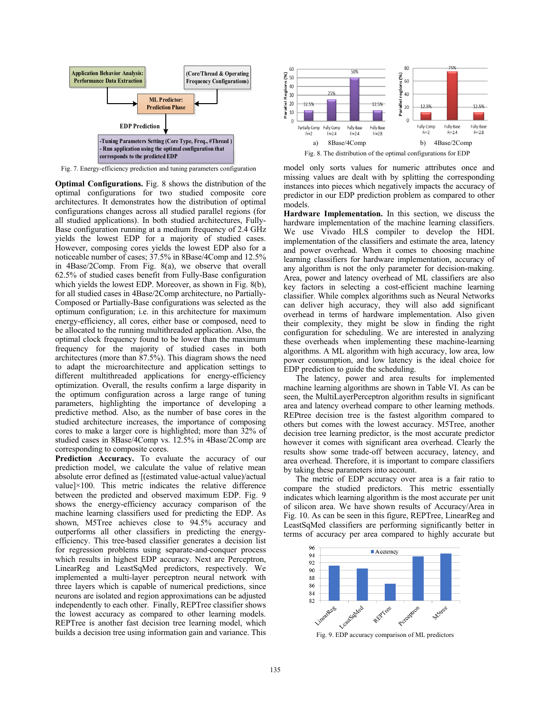

Fig. 7. Energy-efficiency prediction and tuning parameters configuration

**Optimal Configurations.** Fig. 8 shows the distribution of the optimal configurations for two studied composite core architectures. It demonstrates how the distribution of optimal configurations changes across all studied parallel regions (for all studied applications). In both studied architectures, Fully-Base configuration running at a medium frequency of 2.4 GHz yields the lowest EDP for a majority of studied cases. However, composing cores yields the lowest EDP also for a noticeable number of cases; 37.5% in 8Base/4Comp and 12.5% in 4Base/2Comp. From Fig. 8(a), we observe that overall 62.5% of studied cases benefit from Fully-Base configuration which yields the lowest EDP. Moreover, as shown in Fig. 8(b), for all studied cases in 4Base/2Comp architecture, no Partially-Composed or Partially-Base configurations was selected as the optimum configuration; i.e. in this architecture for maximum energy-efficiency, all cores, either base or composed, need to be allocated to the running multithreaded application. Also, the optimal clock frequency found to be lower than the maximum frequency for the majority of studied cases in both architectures (more than 87.5%). This diagram shows the need to adapt the microarchitecture and application settings to different multithreaded applications for energy-efficiency optimization. Overall, the results confirm a large disparity in the optimum configuration across a large range of tuning parameters, highlighting the importance of developing a predictive method. Also, as the number of base cores in the studied architecture increases, the importance of composing cores to make a larger core is highlighted; more than 32% of studied cases in 8Base/4Comp vs. 12.5% in 4Base/2Comp are corresponding to composite cores.

Prediction Accuracy. To evaluate the accuracy of our prediction model, we calculate the value of relative mean absolute error defined as [(estimated value-actual value)/actual value] $\times$ 100. This metric indicates the relative difference between the predicted and observed maximum EDP. Fig. 9 shows the energy-efficiency accuracy comparison of the machine learning classifiers used for predicting the EDP. As shown, M5Tree achieves close to 94.5% accuracy and outperforms all other classifiers in predicting the energyefficiency. This tree-based classifier generates a decision list for regression problems using separate-and-conquer process which results in highest EDP accuracy. Next are Perceptron, LinearReg and LeastSqMed predictors, respectively. We implemented a multi-layer perceptron neural network with three layers which is capable of numerical predictions, since neurons are isolated and region approximations can be adjusted independently to each other. Finally, REPTree classifier shows the lowest accuracy as compared to other learning models. REPTree is another fast decision tree learning model, which builds a decision tree using information gain and variance. This



model only sorts values for numeric attributes once and missing values are dealt with by splitting the corresponding instances into pieces which negatively impacts the accuracy of predictor in our EDP prediction problem as compared to other models.

Hardware Implementation. In this section, we discuss the hardware implementation of the machine learning classifiers. We use Vivado HLS compiler to develop the HDL implementation of the classifiers and estimate the area, latency and power overhead. When it comes to choosing machine learning classifiers for hardware implementation, accuracy of any algorithm is not the only parameter for decision-making. Area, power and latency overhead of ML classifiers are also key factors in selecting a cost-efficient machine learning classifier. While complex algorithms such as Neural Networks can deliver high accuracy, they will also add significant overhead in terms of hardware implementation. Also given their complexity, they might be slow in finding the right configuration for scheduling. We are interested in analyzing these overheads when implementing these machine-learning algorithms. A ML algorithm with high accuracy, low area, low power consumption, and low latency is the ideal choice for EDP prediction to guide the scheduling.

The latency, power and area results for implemented machine learning algorithms are shown in Table VI. As can be seen, the MultiLayerPerceptron algorithm results in significant area and latency overhead compare to other learning methods. REPtree decision tree is the fastest algorithm compared to others but comes with the lowest accuracy. M5Tree, another decision tree learning predictor, is the most accurate predictor however it comes with significant area overhead. Clearly the results show some trade-off between accuracy, latency, and area overhead. Therefore, it is important to compare classifiers by taking these parameters into account.

The metric of EDP accuracy over area is a fair ratio to compare the studied predictors. This metric essentially indicates which learning algorithm is the most accurate per unit of silicon area. We have shown results of Accuracy/Area in Fig. 10. As can be seen in this figure, REPTree, LinearReg and LeastSqMed classifiers are performing significantly better in terms of accuracy per area compared to highly accurate but



Fig. 9. EDP accuracy comparison of ML predictors